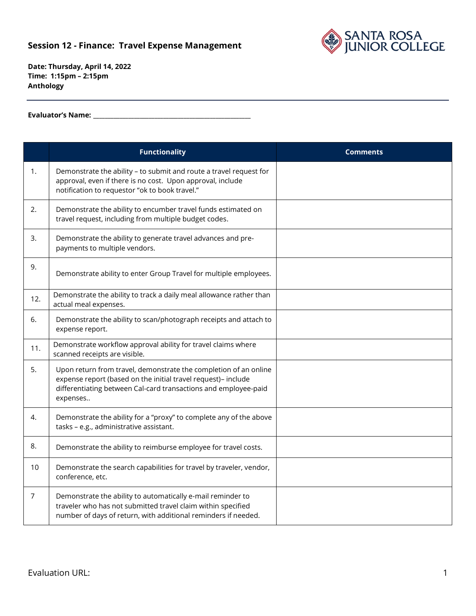## **Session 12 - Finance: Travel Expense Management**



**Date: Thursday, April 14, 2022 Time: 1:15pm – 2:15pm Anthology**

**Evaluator's Name: \_\_\_\_\_\_\_\_\_\_\_\_\_\_\_\_\_\_\_\_\_\_\_\_\_\_\_\_\_\_\_\_\_\_\_\_\_\_\_\_\_\_\_\_\_\_\_\_\_\_\_\_\_\_**

|                | <b>Functionality</b>                                                                                                                                                                                             | <b>Comments</b> |
|----------------|------------------------------------------------------------------------------------------------------------------------------------------------------------------------------------------------------------------|-----------------|
| 1.             | Demonstrate the ability - to submit and route a travel request for<br>approval, even if there is no cost. Upon approval, include<br>notification to requestor "ok to book travel."                               |                 |
| 2.             | Demonstrate the ability to encumber travel funds estimated on<br>travel request, including from multiple budget codes.                                                                                           |                 |
| 3.             | Demonstrate the ability to generate travel advances and pre-<br>payments to multiple vendors.                                                                                                                    |                 |
| 9.             | Demonstrate ability to enter Group Travel for multiple employees.                                                                                                                                                |                 |
| 12.            | Demonstrate the ability to track a daily meal allowance rather than<br>actual meal expenses.                                                                                                                     |                 |
| 6.             | Demonstrate the ability to scan/photograph receipts and attach to<br>expense report.                                                                                                                             |                 |
| 11.            | Demonstrate workflow approval ability for travel claims where<br>scanned receipts are visible.                                                                                                                   |                 |
| 5.             | Upon return from travel, demonstrate the completion of an online<br>expense report (based on the initial travel request)- include<br>differentiating between Cal-card transactions and employee-paid<br>expenses |                 |
| 4.             | Demonstrate the ability for a "proxy" to complete any of the above<br>tasks - e.g., administrative assistant.                                                                                                    |                 |
| 8.             | Demonstrate the ability to reimburse employee for travel costs.                                                                                                                                                  |                 |
| 10             | Demonstrate the search capabilities for travel by traveler, vendor,<br>conference, etc.                                                                                                                          |                 |
| $\overline{7}$ | Demonstrate the ability to automatically e-mail reminder to<br>traveler who has not submitted travel claim within specified<br>number of days of return, with additional reminders if needed.                    |                 |